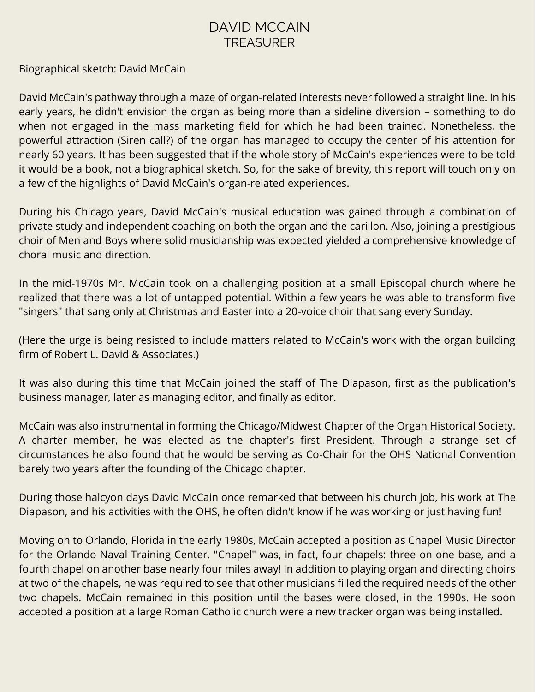## DAVID MCCAIN TREASURER

Biographical sketch: David McCain

David McCain's pathway through a maze of organ-related interests never followed a straight line. In his early years, he didn't envision the organ as being more than a sideline diversion – something to do when not engaged in the mass marketing field for which he had been trained. Nonetheless, the powerful attraction (Siren call?) of the organ has managed to occupy the center of his attention for nearly 60 years. It has been suggested that if the whole story of McCain's experiences were to be told it would be a book, not a biographical sketch. So, for the sake of brevity, this report will touch only on a few of the highlights of David McCain's organ-related experiences.

During his Chicago years, David McCain's musical education was gained through a combination of private study and independent coaching on both the organ and the carillon. Also, joining a prestigious choir of Men and Boys where solid musicianship was expected yielded a comprehensive knowledge of choral music and direction.

In the mid-1970s Mr. McCain took on a challenging position at a small Episcopal church where he realized that there was a lot of untapped potential. Within a few years he was able to transform five "singers" that sang only at Christmas and Easter into a 20-voice choir that sang every Sunday.

(Here the urge is being resisted to include matters related to McCain's work with the organ building firm of Robert L. David & Associates.)

It was also during this time that McCain joined the staff of The Diapason, first as the publication's business manager, later as managing editor, and finally as editor.

McCain was also instrumental in forming the Chicago/Midwest Chapter of the Organ Historical Society. A charter member, he was elected as the chapter's first President. Through a strange set of circumstances he also found that he would be serving as Co-Chair for the OHS National Convention barely two years after the founding of the Chicago chapter.

During those halcyon days David McCain once remarked that between his church job, his work at The Diapason, and his activities with the OHS, he often didn't know if he was working or just having fun!

Moving on to Orlando, Florida in the early 1980s, McCain accepted a position as Chapel Music Director for the Orlando Naval Training Center. "Chapel" was, in fact, four chapels: three on one base, and a fourth chapel on another base nearly four miles away! In addition to playing organ and directing choirs at two of the chapels, he was required to see that other musicians filled the required needs of the other two chapels. McCain remained in this position until the bases were closed, in the 1990s. He soon accepted a position at a large Roman Catholic church were a new tracker organ was being installed.